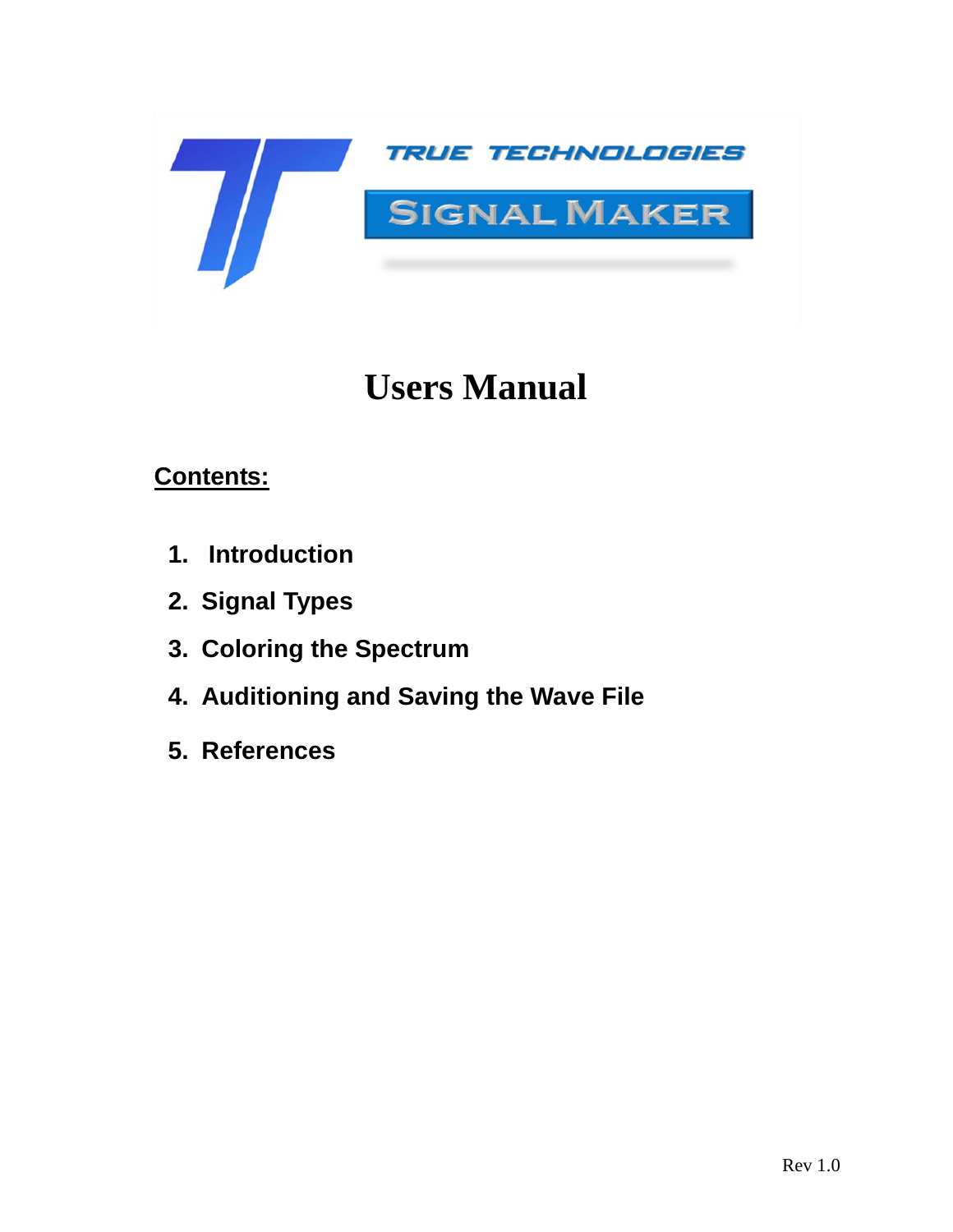

# **Users Manual**

### **Contents:**

- **1. Introduction**
- **2. Signal Types**
- **3. Coloring the Spectrum**
- **4. Auditioning and Saving the Wave File**
- **5. References**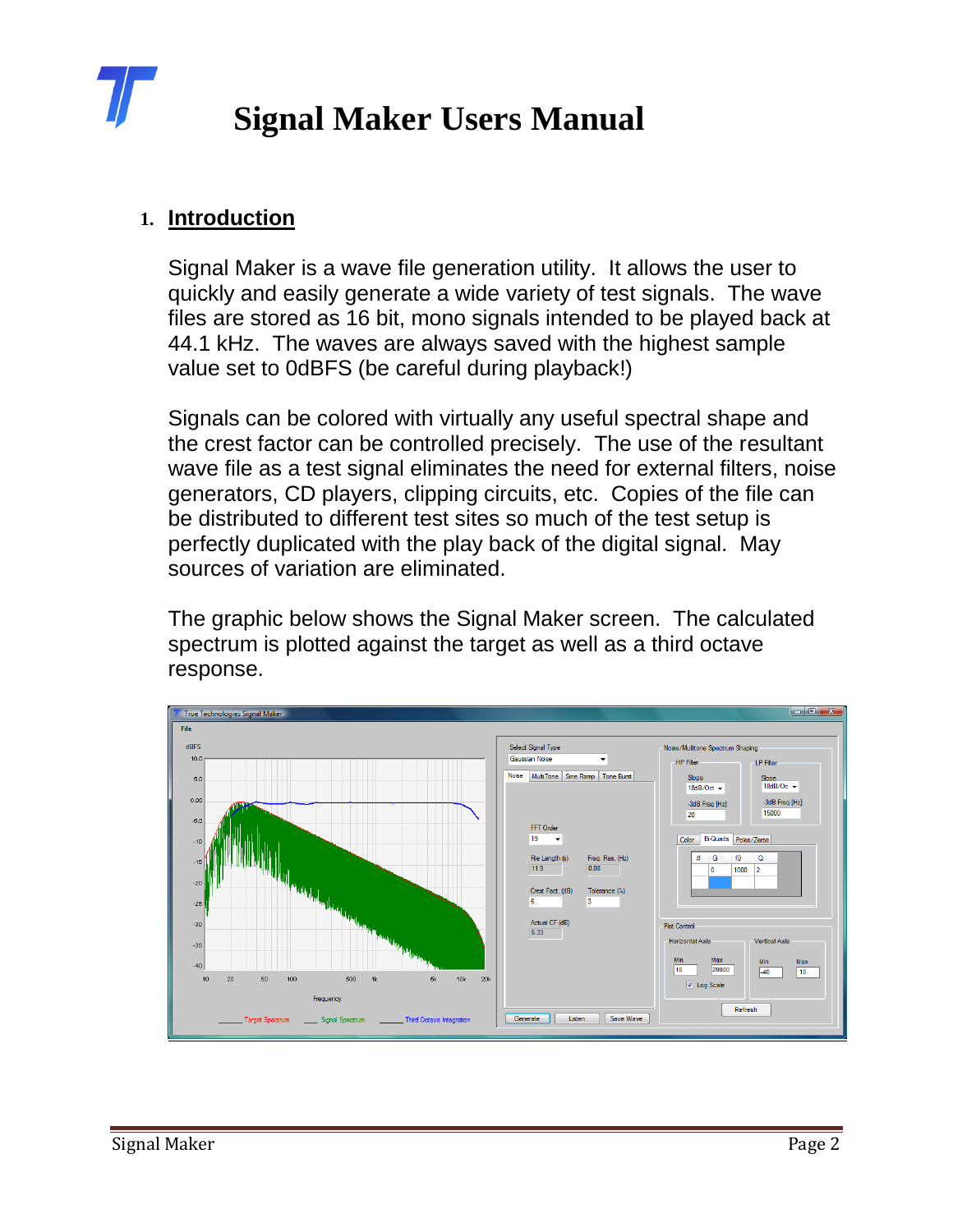

#### **1. Introduction**

Signal Maker is a wave file generation utility. It allows the user to quickly and easily generate a wide variety of test signals. The wave files are stored as 16 bit, mono signals intended to be played back at 44.1 kHz. The waves are always saved with the highest sample value set to 0dBFS (be careful during playback!)

Signals can be colored with virtually any useful spectral shape and the crest factor can be controlled precisely. The use of the resultant wave file as a test signal eliminates the need for external filters, noise generators, CD players, clipping circuits, etc. Copies of the file can be distributed to different test sites so much of the test setup is perfectly duplicated with the play back of the digital signal. May sources of variation are eliminated.

The graphic below shows the Signal Maker screen. The calculated spectrum is plotted against the target as well as a third octave response.

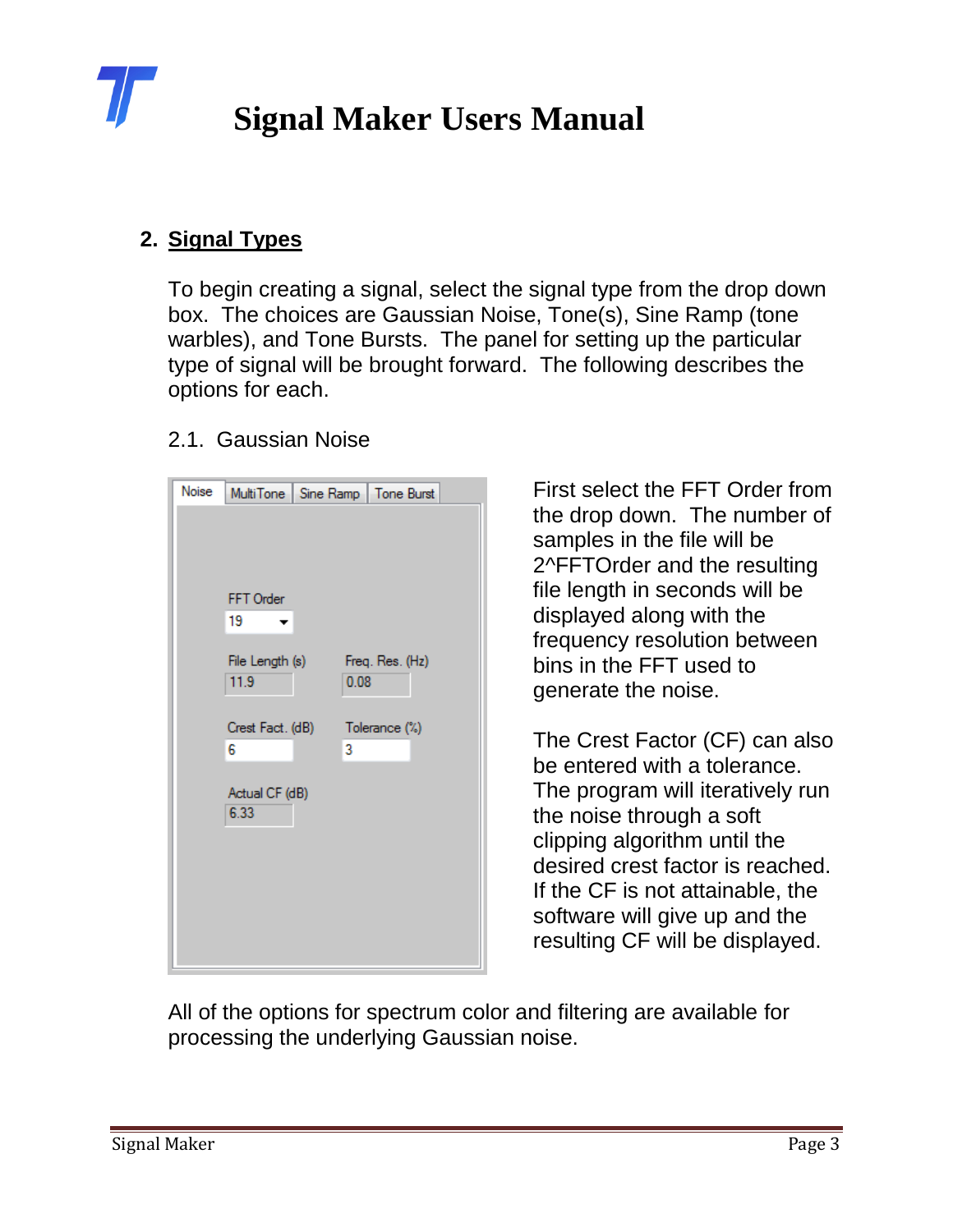

#### **2. Signal Types**

To begin creating a signal, select the signal type from the drop down box. The choices are Gaussian Noise, Tone(s), Sine Ramp (tone warbles), and Tone Bursts. The panel for setting up the particular type of signal will be brought forward. The following describes the options for each.

#### 2.1. Gaussian Noise

| Noise | MultiTone   Sine Ramp   Tone Burst |                         |  |
|-------|------------------------------------|-------------------------|--|
|       |                                    |                         |  |
|       |                                    |                         |  |
|       |                                    |                         |  |
|       | FFT Order                          |                         |  |
|       | 19                                 |                         |  |
|       |                                    |                         |  |
|       | File Length (s)<br>11.9            | Freq. Res. (Hz)<br>0.08 |  |
|       |                                    |                         |  |
|       | Crest Fact. (dB)                   | Tolerance (%)           |  |
|       | 6                                  | 3                       |  |
|       |                                    |                         |  |
|       | Actual CF (dB)                     |                         |  |
|       | 6.33                               |                         |  |
|       |                                    |                         |  |
|       |                                    |                         |  |
|       |                                    |                         |  |
|       |                                    |                         |  |
|       |                                    |                         |  |
|       |                                    |                         |  |

First select the FFT Order from the drop down. The number of samples in the file will be 2^FFTOrder and the resulting file length in seconds will be displayed along with the frequency resolution between bins in the FFT used to generate the noise.

The Crest Factor (CF) can also be entered with a tolerance. The program will iteratively run the noise through a soft clipping algorithm until the desired crest factor is reached. If the CF is not attainable, the software will give up and the resulting CF will be displayed.

All of the options for spectrum color and filtering are available for processing the underlying Gaussian noise.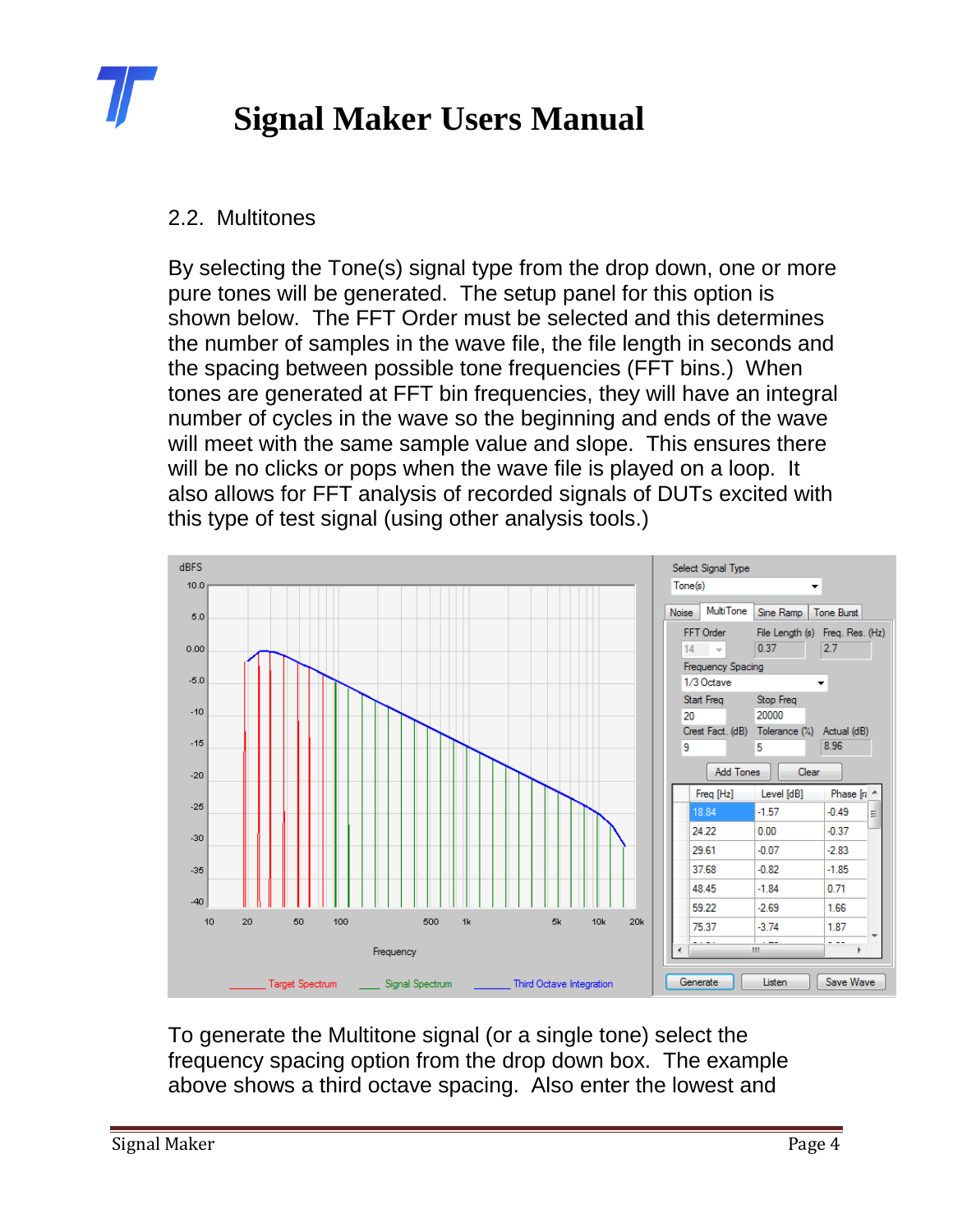

#### 2.2. Multitones

By selecting the Tone(s) signal type from the drop down, one or more pure tones will be generated. The setup panel for this option is shown below. The FFT Order must be selected and this determines the number of samples in the wave file, the file length in seconds and the spacing between possible tone frequencies (FFT bins.) When tones are generated at FFT bin frequencies, they will have an integral number of cycles in the wave so the beginning and ends of the wave will meet with the same sample value and slope. This ensures there will be no clicks or pops when the wave file is played on a loop. It also allows for FFT analysis of recorded signals of DUTs excited with this type of test signal (using other analysis tools.)



To generate the Multitone signal (or a single tone) select the frequency spacing option from the drop down box. The example above shows a third octave spacing. Also enter the lowest and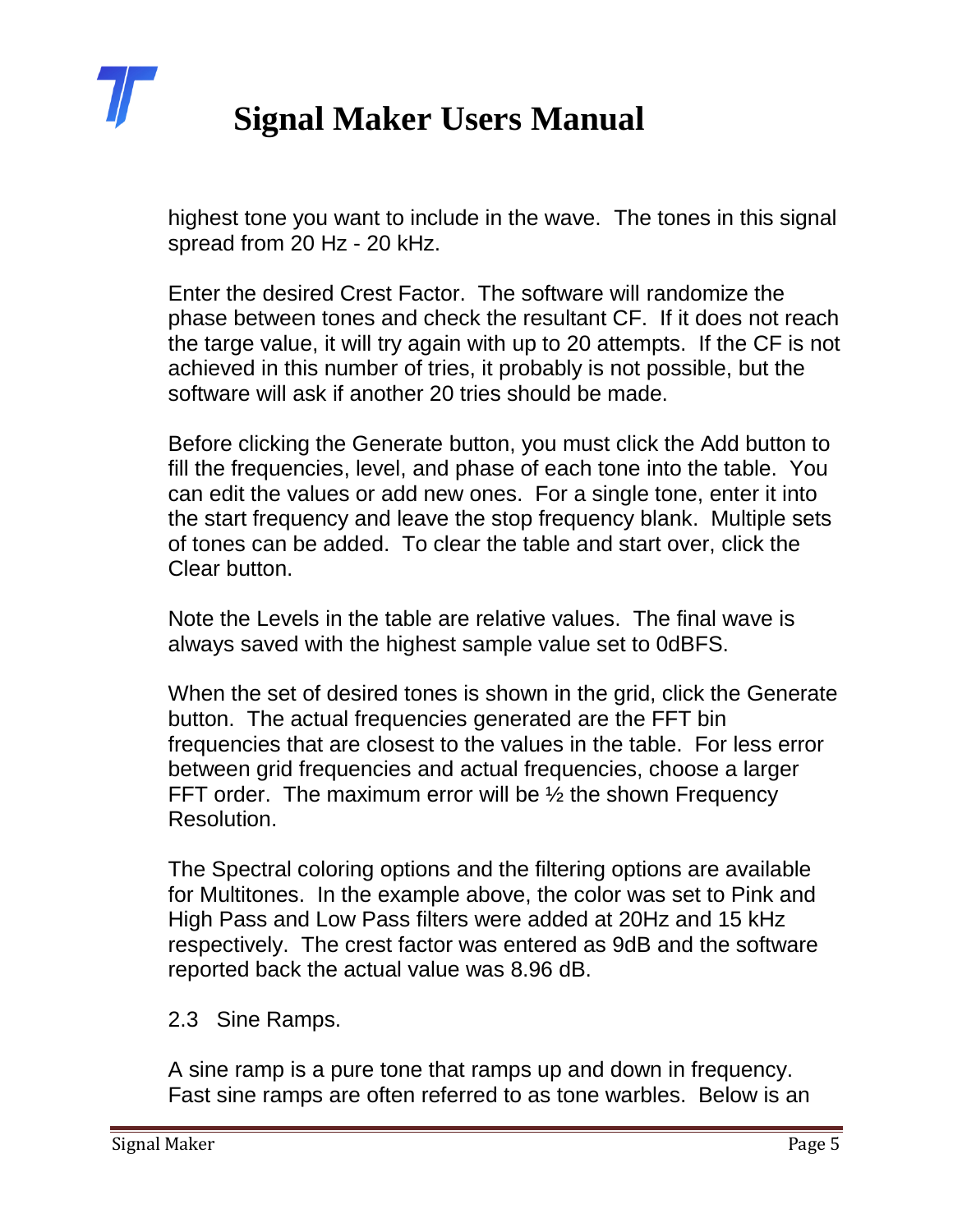

highest tone you want to include in the wave. The tones in this signal spread from 20 Hz - 20 kHz.

Enter the desired Crest Factor. The software will randomize the phase between tones and check the resultant CF. If it does not reach the targe value, it will try again with up to 20 attempts. If the CF is not achieved in this number of tries, it probably is not possible, but the software will ask if another 20 tries should be made.

Before clicking the Generate button, you must click the Add button to fill the frequencies, level, and phase of each tone into the table. You can edit the values or add new ones. For a single tone, enter it into the start frequency and leave the stop frequency blank. Multiple sets of tones can be added. To clear the table and start over, click the Clear button.

Note the Levels in the table are relative values. The final wave is always saved with the highest sample value set to 0dBFS.

When the set of desired tones is shown in the grid, click the Generate button. The actual frequencies generated are the FFT bin frequencies that are closest to the values in the table. For less error between grid frequencies and actual frequencies, choose a larger FFT order. The maximum error will be  $\frac{1}{2}$  the shown Frequency Resolution.

The Spectral coloring options and the filtering options are available for Multitones. In the example above, the color was set to Pink and High Pass and Low Pass filters were added at 20Hz and 15 kHz respectively. The crest factor was entered as 9dB and the software reported back the actual value was 8.96 dB.

#### 2.3 Sine Ramps.

A sine ramp is a pure tone that ramps up and down in frequency. Fast sine ramps are often referred to as tone warbles. Below is an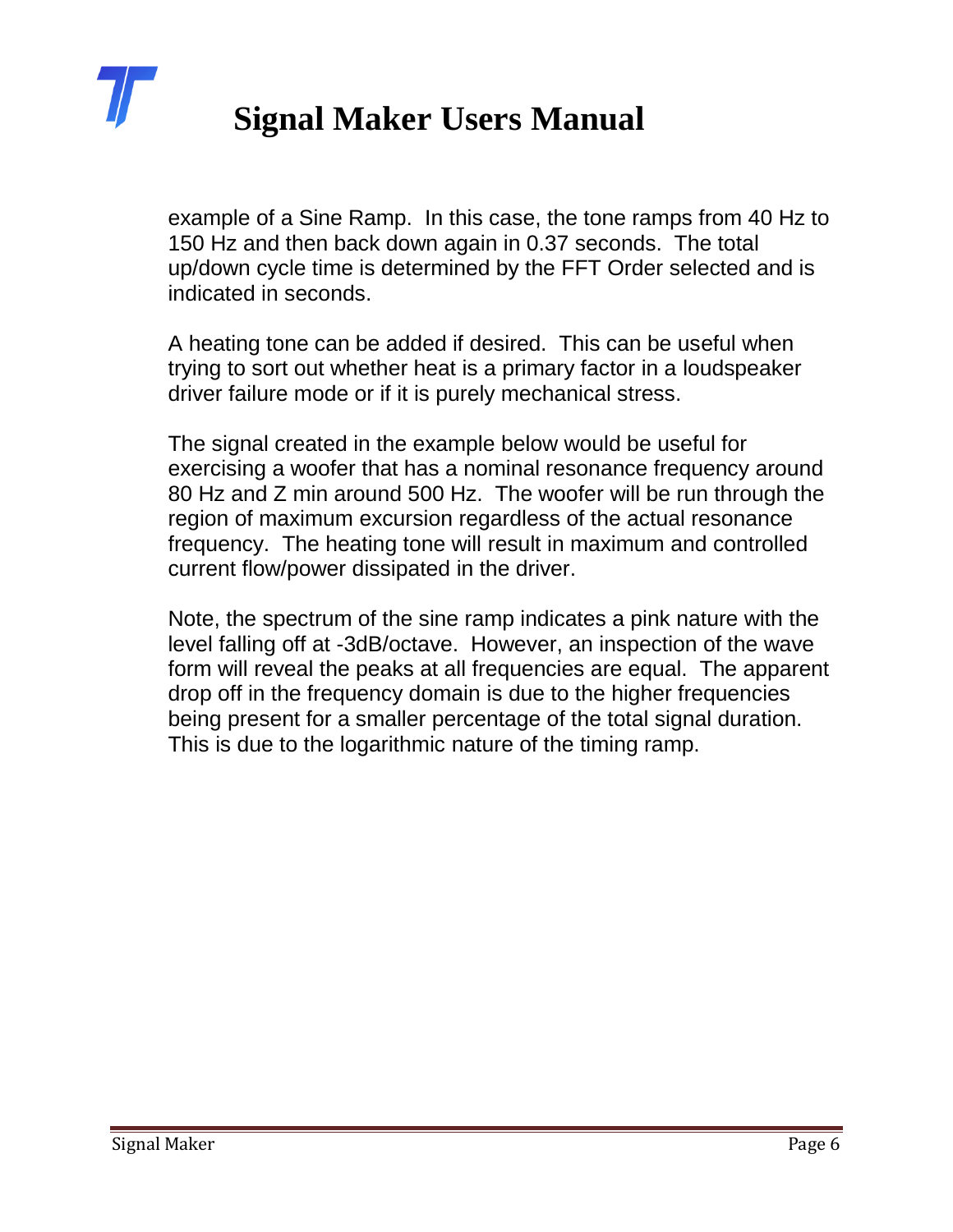

example of a Sine Ramp. In this case, the tone ramps from 40 Hz to 150 Hz and then back down again in 0.37 seconds. The total up/down cycle time is determined by the FFT Order selected and is indicated in seconds.

A heating tone can be added if desired. This can be useful when trying to sort out whether heat is a primary factor in a loudspeaker driver failure mode or if it is purely mechanical stress.

The signal created in the example below would be useful for exercising a woofer that has a nominal resonance frequency around 80 Hz and Z min around 500 Hz. The woofer will be run through the region of maximum excursion regardless of the actual resonance frequency. The heating tone will result in maximum and controlled current flow/power dissipated in the driver.

Note, the spectrum of the sine ramp indicates a pink nature with the level falling off at -3dB/octave. However, an inspection of the wave form will reveal the peaks at all frequencies are equal. The apparent drop off in the frequency domain is due to the higher frequencies being present for a smaller percentage of the total signal duration. This is due to the logarithmic nature of the timing ramp.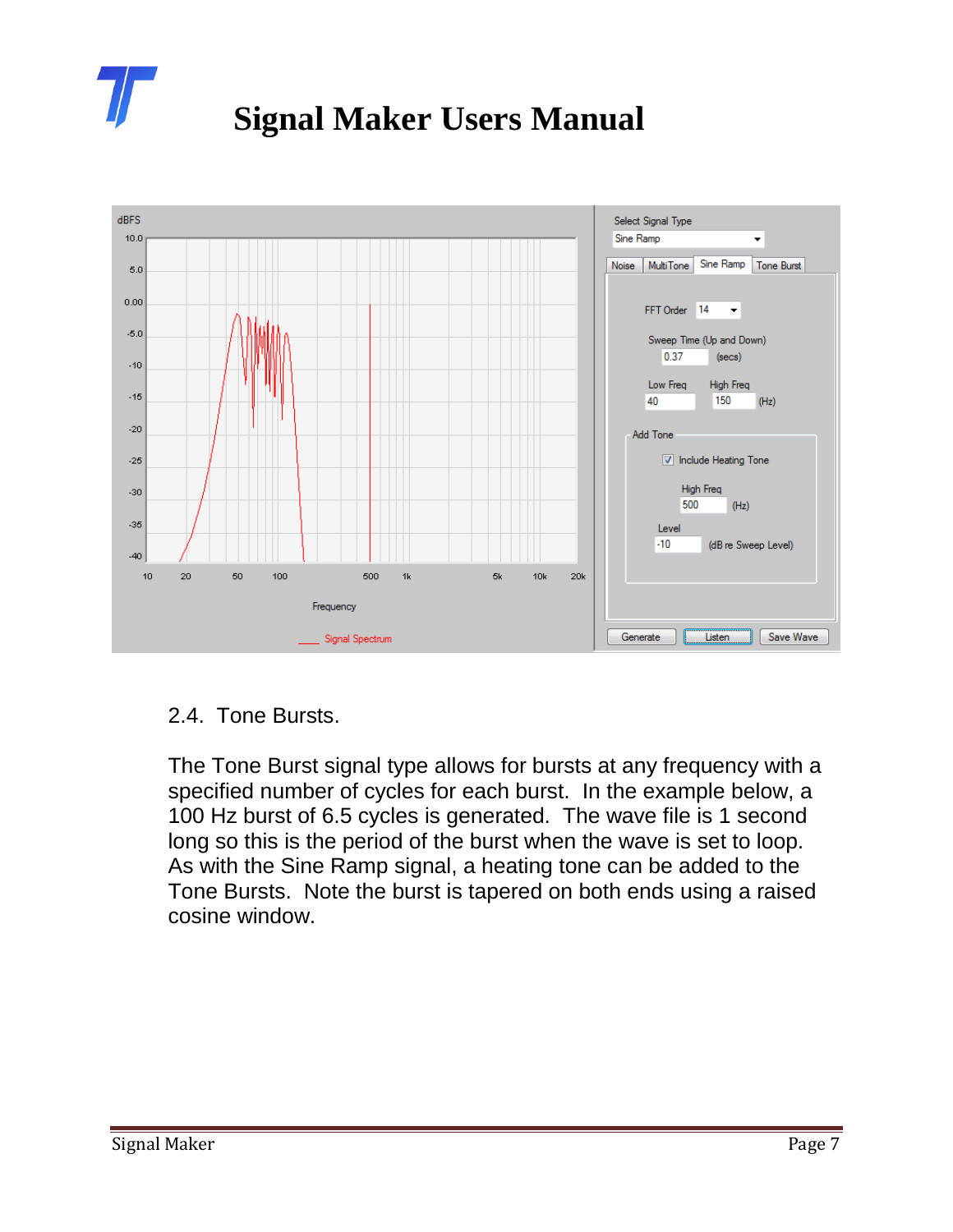



#### 2.4. Tone Bursts.

The Tone Burst signal type allows for bursts at any frequency with a specified number of cycles for each burst. In the example below, a 100 Hz burst of 6.5 cycles is generated. The wave file is 1 second long so this is the period of the burst when the wave is set to loop. As with the Sine Ramp signal, a heating tone can be added to the Tone Bursts. Note the burst is tapered on both ends using a raised cosine window.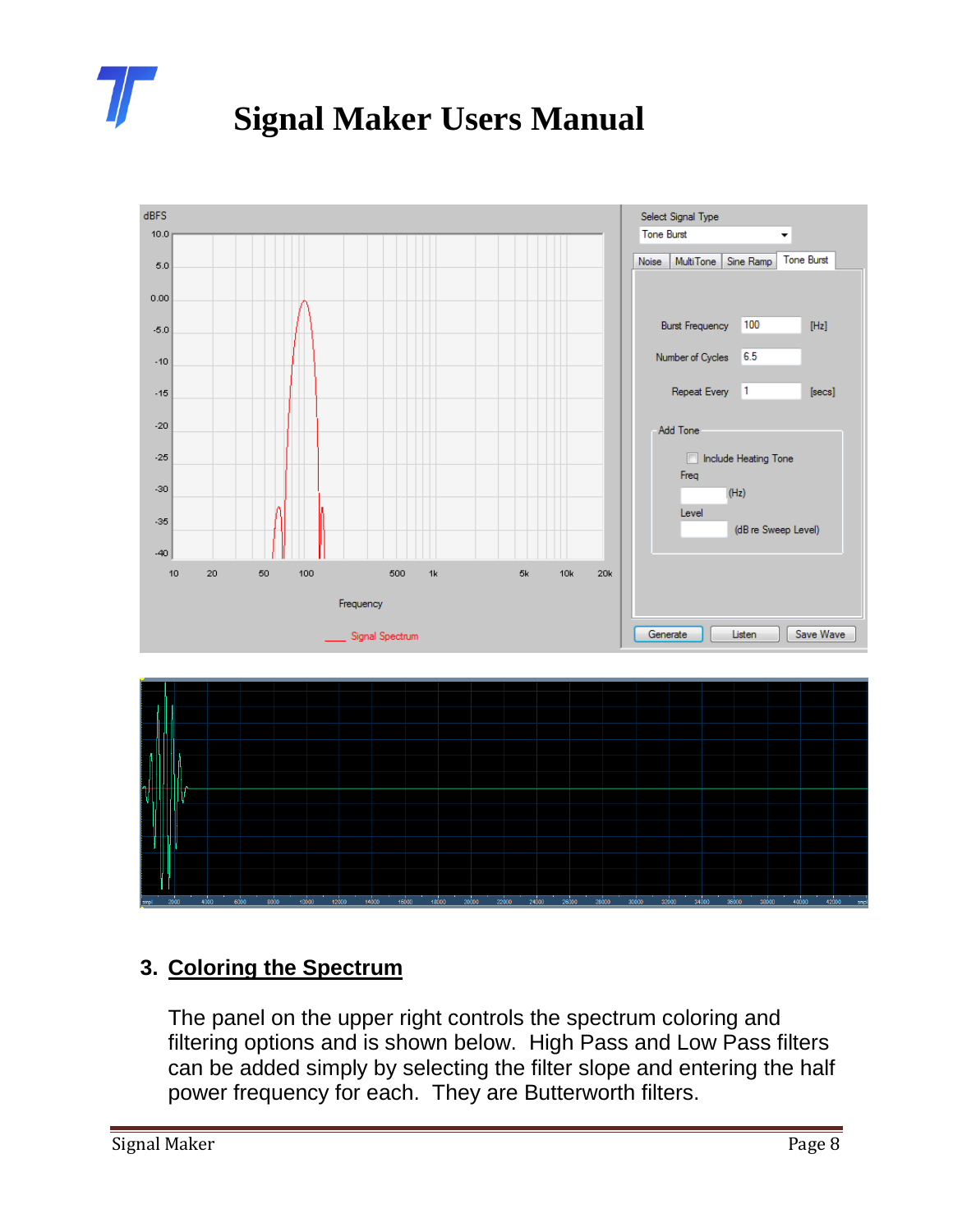



### **3. Coloring the Spectrum**

The panel on the upper right controls the spectrum coloring and filtering options and is shown below. High Pass and Low Pass filters can be added simply by selecting the filter slope and entering the half power frequency for each. They are Butterworth filters.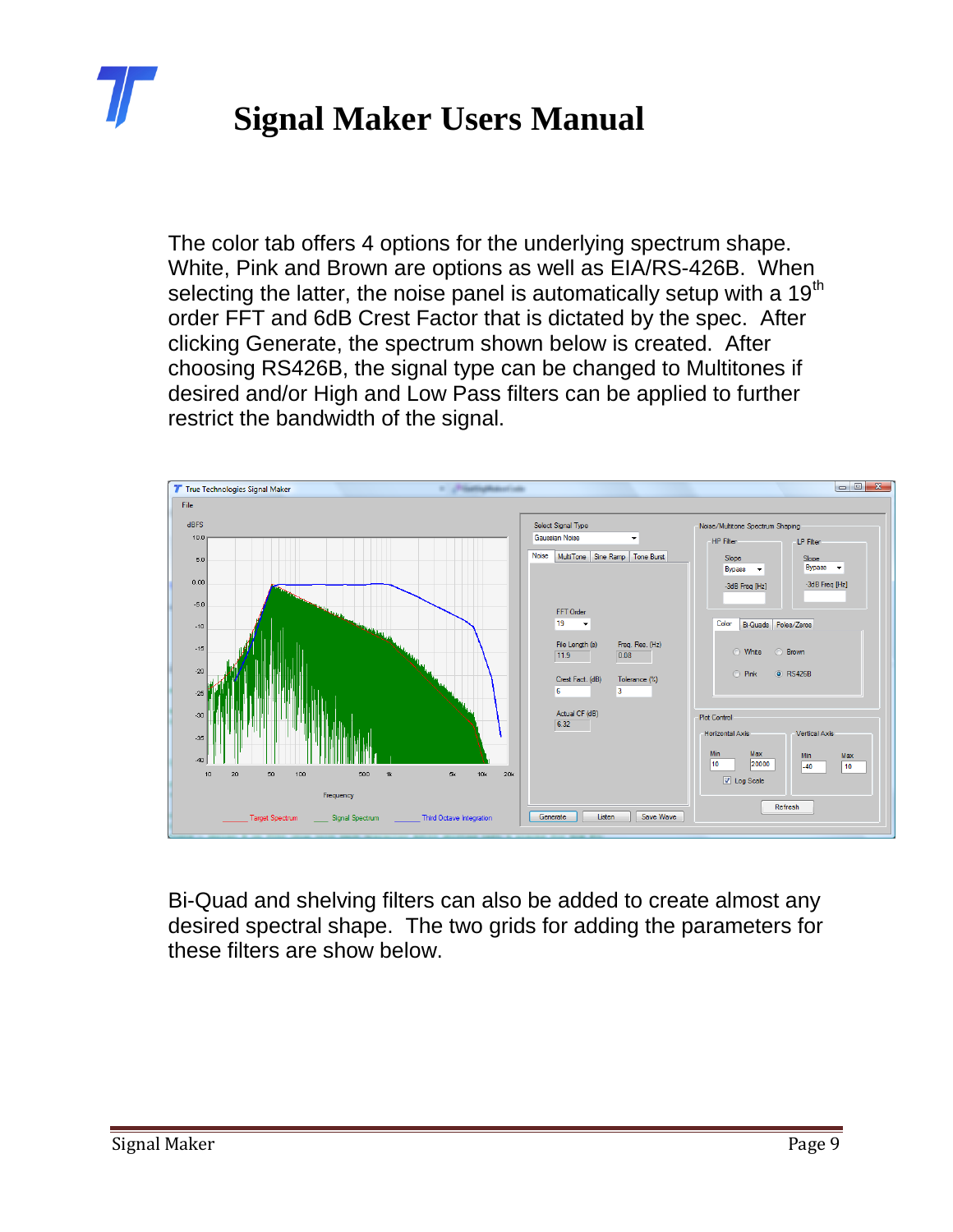

The color tab offers 4 options for the underlying spectrum shape. White, Pink and Brown are options as well as EIA/RS-426B. When selecting the latter, the noise panel is automatically setup with a 19<sup>th</sup> order FFT and 6dB Crest Factor that is dictated by the spec. After clicking Generate, the spectrum shown below is created. After choosing RS426B, the signal type can be changed to Multitones if desired and/or High and Low Pass filters can be applied to further restrict the bandwidth of the signal.



Bi-Quad and shelving filters can also be added to create almost any desired spectral shape. The two grids for adding the parameters for these filters are show below.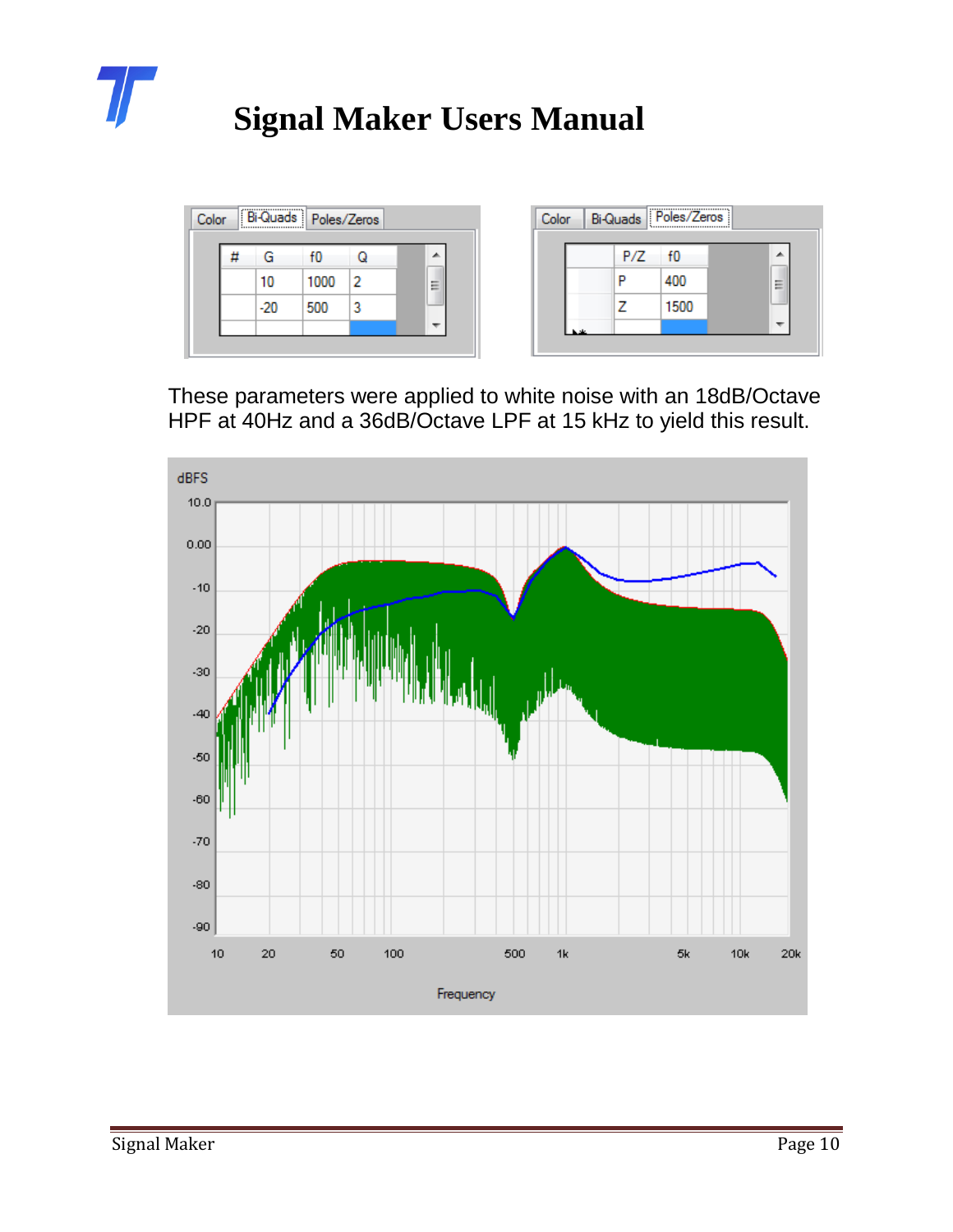

| f0<br>G      |   |                                 |  |     |      |                          |
|--------------|---|---------------------------------|--|-----|------|--------------------------|
|              |   | ∸                               |  | P/Z | f0   | ▲                        |
| 10           |   | $=$<br>$\overline{\phantom{a}}$ |  |     | 400  | Ξ                        |
| $-20$<br>500 | 3 |                                 |  |     | 1500 |                          |
|              |   | ÷                               |  |     |      | $\overline{\phantom{a}}$ |
|              |   | 1000                            |  |     |      |                          |

These parameters were applied to white noise with an 18dB/Octave HPF at 40Hz and a 36dB/Octave LPF at 15 kHz to yield this result.